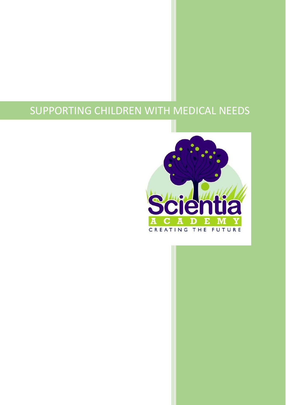# SUPPORTING CHILDREN WITH MEDICAL NEEDS

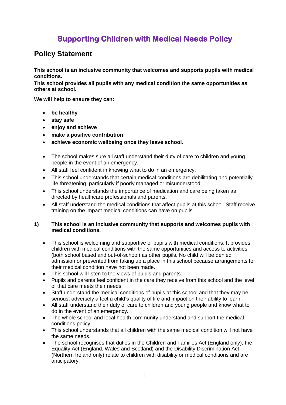## **Supporting Children with Medical Needs Policy**

### **Policy Statement**

**This school is an inclusive community that welcomes and supports pupils with medical conditions.**

**This school provides all pupils with any medical condition the same opportunities as others at school.**

**We will help to ensure they can:**

- **be healthy**
- **stay safe**
- **enjoy and achieve**
- **make a positive contribution**
- **achieve economic wellbeing once they leave school.**
- The school makes sure all staff understand their duty of care to children and young people in the event of an emergency.
- All staff feel confident in knowing what to do in an emergency.
- This school understands that certain medical conditions are debilitating and potentially life threatening, particularly if poorly managed or misunderstood.
- This school understands the importance of medication and care being taken as directed by healthcare professionals and parents.
- All staff understand the medical conditions that affect pupils at this school. Staff receive training on the impact medical conditions can have on pupils.

#### **1) This school is an inclusive community that supports and welcomes pupils with medical conditions.**

- This school is welcoming and supportive of pupils with medical conditions. It provides children with medical conditions with the same opportunities and access to activities (both school based and out-of-school) as other pupils. No child will be denied admission or prevented from taking up a place in this school because arrangements for their medical condition have not been made.
- This school will listen to the views of pupils and parents.
- Pupils and parents feel confident in the care they receive from this school and the level of that care meets their needs.
- Staff understand the medical conditions of pupils at this school and that they may be serious, adversely affect a child's quality of life and impact on their ability to learn.
- All staff understand their duty of care to children and young people and know what to do in the event of an emergency.
- The whole school and local health community understand and support the medical conditions policy.
- This school understands that all children with the same medical condition will not have the same needs.
- The school recognises that duties in the Children and Families Act (England only), the Equality Act (England, Wales and Scotland) and the Disability Discrimination Act (Northern Ireland only) relate to children with disability or medical conditions and are anticipatory.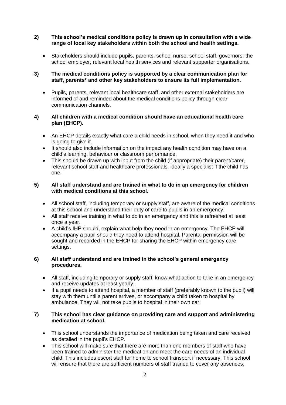#### **2) This school's medical conditions policy is drawn up in consultation with a wide range of local key stakeholders within both the school and health settings.**

 Stakeholders should include pupils, parents, school nurse, school staff, governors, the school employer, relevant local health services and relevant supporter organisations.

#### **3) The medical conditions policy is supported by a clear communication plan for staff, parents\* and other key stakeholders to ensure its full implementation.**

 Pupils, parents, relevant local healthcare staff, and other external stakeholders are informed of and reminded about the medical conditions policy through clear communication channels.

#### **4) All children with a medical condition should have an educational health care plan (EHCP).**

- An EHCP details exactly what care a child needs in school, when they need it and who is going to give it.
- It should also include information on the impact any health condition may have on a child's learning, behaviour or classroom performance.
- This should be drawn up with input from the child (if appropriate) their parent/carer, relevant school staff and healthcare professionals, ideally a specialist if the child has one.

#### **5) All staff understand and are trained in what to do in an emergency for children with medical conditions at this school.**

- All school staff, including temporary or supply staff, are aware of the medical conditions at this school and understand their duty of care to pupils in an emergency.
- All staff receive training in what to do in an emergency and this is refreshed at least once a year.
- A child's IHP should, explain what help they need in an emergency. The EHCP will accompany a pupil should they need to attend hospital. Parental permission will be sought and recorded in the EHCP for sharing the EHCP within emergency care settings.

#### **6) All staff understand and are trained in the school's general emergency procedures.**

- All staff, including temporary or supply staff, know what action to take in an emergency and receive updates at least yearly.
- If a pupil needs to attend hospital, a member of staff (preferably known to the pupil) will stay with them until a parent arrives, or accompany a child taken to hospital by ambulance. They will not take pupils to hospital in their own car.

#### **7) This school has clear guidance on providing care and support and administering medication at school.**

- This school understands the importance of medication being taken and care received as detailed in the pupil's EHCP.
- This school will make sure that there are more than one members of staff who have been trained to administer the medication and meet the care needs of an individual child. This includes escort staff for home to school transport if necessary. This school will ensure that there are sufficient numbers of staff trained to cover any absences,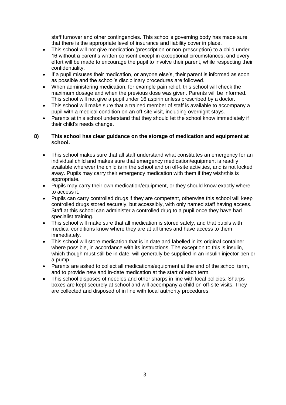staff turnover and other contingencies. This school's governing body has made sure that there is the appropriate level of insurance and liability cover in place.

- This school will not give medication (prescription or non-prescription) to a child under 16 without a parent's written consent except in exceptional circumstances, and every effort will be made to encourage the pupil to involve their parent, while respecting their confidentiality.
- If a pupil misuses their medication, or anyone else's, their parent is informed as soon as possible and the school's disciplinary procedures are followed.
- When administering medication, for example pain relief, this school will check the maximum dosage and when the previous dose was given. Parents will be informed. This school will not give a pupil under 16 aspirin unless prescribed by a doctor.
- This school will make sure that a trained member of staff is available to accompany a pupil with a medical condition on an off-site visit, including overnight stays.
- Parents at this school understand that they should let the school know immediately if their child's needs change.

#### **8) This school has clear guidance on the storage of medication and equipment at school.**

- This school makes sure that all staff understand what constitutes an emergency for an individual child and makes sure that emergency medication/equipment is readily available wherever the child is in the school and on off-site activities, and is not locked away. Pupils may carry their emergency medication with them if they wish/this is appropriate.
- Pupils may carry their own medication/equipment, or they should know exactly where to access it.
- Pupils can carry controlled drugs if they are competent, otherwise this school will keep controlled drugs stored securely, but accessibly, with only named staff having access. Staff at this school can administer a controlled drug to a pupil once they have had specialist training.
- This school will make sure that all medication is stored safely, and that pupils with medical conditions know where they are at all times and have access to them immediately.
- This school will store medication that is in date and labelled in its original container where possible, in accordance with its instructions. The exception to this is insulin, which though must still be in date, will generally be supplied in an insulin injector pen or a pump.
- Parents are asked to collect all medications/equipment at the end of the school term, and to provide new and in-date medication at the start of each term.
- This school disposes of needles and other sharps in line with local policies. Sharps boxes are kept securely at school and will accompany a child on off-site visits. They are collected and disposed of in line with local authority procedures.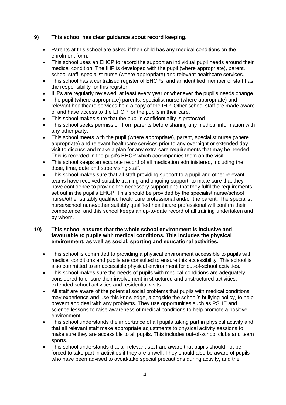#### **9) This school has clear guidance about record keeping.**

- Parents at this school are asked if their child has any medical conditions on the enrolment form.
- This school uses an EHCP to record the support an individual pupil needs around their medical condition. The IHP is developed with the pupil (where appropriate), parent, school staff, specialist nurse (where appropriate) and relevant healthcare services.
- This school has a centralised register of EHCPs, and an identified member of staff has the responsibility for this register.
- IHPs are regularly reviewed, at least every year or whenever the pupil's needs change.
- The pupil (where appropriate) parents, specialist nurse (where appropriate) and relevant healthcare services hold a copy of the IHP. Other school staff are made aware of and have access to the EHCP for the pupils in their care.
- This school makes sure that the pupil's confidentiality is protected.
- This school seeks permission from parents before sharing any medical information with any other party.
- This school meets with the pupil (where appropriate), parent, specialist nurse (where appropriate) and relevant healthcare services prior to any overnight or extended day visit to discuss and make a plan for any extra care requirements that may be needed. This is recorded in the pupil's EHCP which accompanies them on the visit.
- This school keeps an accurate record of all medication administered, including the dose, time, date and supervising staff.
- This school makes sure that all staff providing support to a pupil and other relevant teams have received suitable training and ongoing support, to make sure that they have confidence to provide the necessary support and that they fulfil the requirements set out in the pupil's EHCP. This should be provided by the specialist nurse/school nurse/other suitably qualified healthcare professional and/or the parent. The specialist nurse/school nurse/other suitably qualified healthcare professional will confirm their competence, and this school keeps an up-to-date record of all training undertaken and by whom.

#### **10) This school ensures that the whole school environment is inclusive and favourable to pupils with medical conditions. This includes the physical environment, as well as social, sporting and educational activities.**

- This school is committed to providing a physical environment accessible to pupils with medical conditions and pupils are consulted to ensure this accessibility. This school is also committed to an accessible physical environment for out-of-school activities.
- This school makes sure the needs of pupils with medical conditions are adequately considered to ensure their involvement in structured and unstructured activities, extended school activities and residential visits.
- All staff are aware of the potential social problems that pupils with medical conditions may experience and use this knowledge, alongside the school's bullying policy, to help prevent and deal with any problems. They use opportunities such as PSHE and science lessons to raise awareness of medical conditions to help promote a positive environment.
- This school understands the importance of all pupils taking part in physical activity and that all relevant staff make appropriate adjustments to physical activity sessions to make sure they are accessible to all pupils. This includes out-of-school clubs and team sports.
- This school understands that all relevant staff are aware that pupils should not be forced to take part in activities if they are unwell. They should also be aware of pupils who have been advised to avoid/take special precautions during activity, and the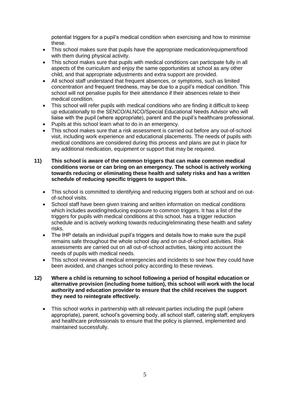potential triggers for a pupil's medical condition when exercising and how to minimise these.

- This school makes sure that pupils have the appropriate medication/equipment/food with them during physical activity.
- This school makes sure that pupils with medical conditions can participate fully in all aspects of the curriculum and enjoy the same opportunities at school as any other child, and that appropriate adjustments and extra support are provided.
- All school staff understand that frequent absences, or symptoms, such as limited concentration and frequent tiredness, may be due to a pupil's medical condition. This school will not penalise pupils for their attendance if their absences relate to their medical condition.
- This school will refer pupils with medical conditions who are finding it difficult to keep up educationally to the SENCO/ALNCO/Special Educational Needs Advisor who will liaise with the pupil (where appropriate), parent and the pupil's healthcare professional.
- Pupils at this school learn what to do in an emergency.
- This school makes sure that a risk assessment is carried out before any out-of-school visit, including work experience and educational placements. The needs of pupils with medical conditions are considered during this process and plans are put in place for any additional medication, equipment or support that may be required.

#### **11) This school is aware of the common triggers that can make common medical conditions worse or can bring on an emergency. The school is actively working towards reducing or eliminating these health and safety risks and has a written schedule of reducing specific triggers to support this.**

- This school is committed to identifying and reducing triggers both at school and on outof-school visits.
- School staff have been given training and written information on medical conditions which includes avoiding/reducing exposure to common triggers. It has a list of the triggers for pupils with medical conditions at this school, has a trigger reduction schedule and is actively working towards reducing/eliminating these health and safety risks.
- The IHP details an individual pupil's triggers and details how to make sure the pupil remains safe throughout the whole school day and on out-of-school activities. Risk assessments are carried out on all out-of-school activities, taking into account the needs of pupils with medical needs.
- This school reviews all medical emergencies and incidents to see how they could have been avoided, and changes school policy according to these reviews.
- **12) Where a child is returning to school following a period of hospital education or alternative provision (including home tuition), this school will work with the local authority and education provider to ensure that the child receives the support they need to reintegrate effectively.**
	- This school works in partnership with all relevant parties including the pupil (where appropriate), parent, school's governing body, all school staff, catering staff, employers and healthcare professionals to ensure that the policy is planned, implemented and maintained successfully.